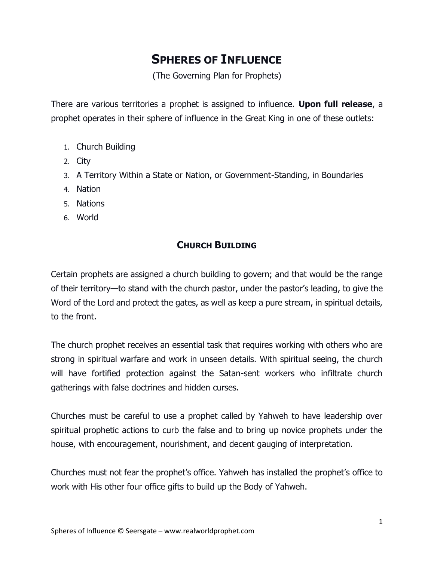# **SPHERES OF INFLUENCE**

(The Governing Plan for Prophets)

There are various territories a prophet is assigned to influence. **Upon full release**, a prophet operates in their sphere of influence in the Great King in one of these outlets:

- 1. Church Building
- 2. City
- 3. A Territory Within a State or Nation, or Government-Standing, in Boundaries
- 4. Nation
- 5. Nations
- 6. World

### **CHURCH BUILDING**

Certain prophets are assigned a church building to govern; and that would be the range of their territory—to stand with the church pastor, under the pastor's leading, to give the Word of the Lord and protect the gates, as well as keep a pure stream, in spiritual details, to the front.

The church prophet receives an essential task that requires working with others who are strong in spiritual warfare and work in unseen details. With spiritual seeing, the church will have fortified protection against the Satan-sent workers who infiltrate church gatherings with false doctrines and hidden curses.

Churches must be careful to use a prophet called by Yahweh to have leadership over spiritual prophetic actions to curb the false and to bring up novice prophets under the house, with encouragement, nourishment, and decent gauging of interpretation.

Churches must not fear the prophet's office. Yahweh has installed the prophet's office to work with His other four office gifts to build up the Body of Yahweh.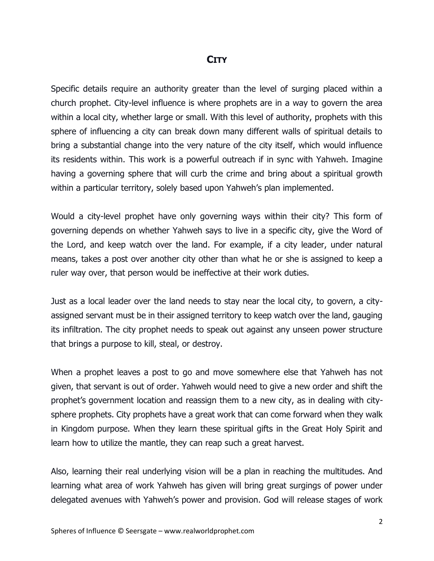#### **CITY**

Specific details require an authority greater than the level of surging placed within a church prophet. City-level influence is where prophets are in a way to govern the area within a local city, whether large or small. With this level of authority, prophets with this sphere of influencing a city can break down many different walls of spiritual details to bring a substantial change into the very nature of the city itself, which would influence its residents within. This work is a powerful outreach if in sync with Yahweh. Imagine having a governing sphere that will curb the crime and bring about a spiritual growth within a particular territory, solely based upon Yahweh's plan implemented.

Would a city-level prophet have only governing ways within their city? This form of governing depends on whether Yahweh says to live in a specific city, give the Word of the Lord, and keep watch over the land. For example, if a city leader, under natural means, takes a post over another city other than what he or she is assigned to keep a ruler way over, that person would be ineffective at their work duties.

Just as a local leader over the land needs to stay near the local city, to govern, a cityassigned servant must be in their assigned territory to keep watch over the land, gauging its infiltration. The city prophet needs to speak out against any unseen power structure that brings a purpose to kill, steal, or destroy.

When a prophet leaves a post to go and move somewhere else that Yahweh has not given, that servant is out of order. Yahweh would need to give a new order and shift the prophet's government location and reassign them to a new city, as in dealing with citysphere prophets. City prophets have a great work that can come forward when they walk in Kingdom purpose. When they learn these spiritual gifts in the Great Holy Spirit and learn how to utilize the mantle, they can reap such a great harvest.

Also, learning their real underlying vision will be a plan in reaching the multitudes. And learning what area of work Yahweh has given will bring great surgings of power under delegated avenues with Yahweh's power and provision. God will release stages of work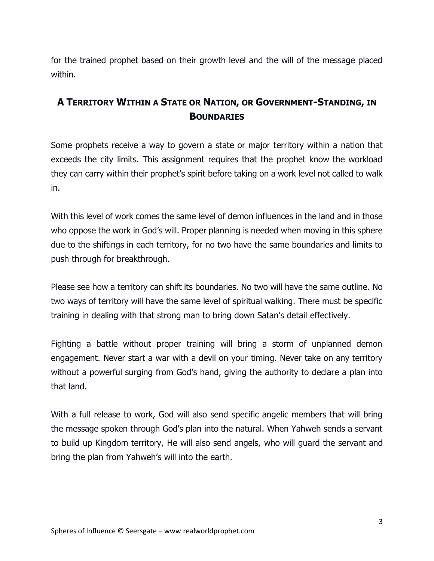for the trained prophet based on their growth level and the will of the message placed within.

## **A TERRITORY WITHIN A STATE OR NATION, OR GOVERNMENT-STANDING, IN BOUNDARIES**

Some prophets receive a way to govern a state or major territory within a nation that exceeds the city limits. This assignment requires that the prophet know the workload they can carry within their prophet's spirit before taking on a work level not called to walk in.

With this level of work comes the same level of demon influences in the land and in those who oppose the work in God's will. Proper planning is needed when moving in this sphere due to the shiftings in each territory, for no two have the same boundaries and limits to push through for breakthrough.

Please see how a territory can shift its boundaries. No two will have the same outline. No two ways of territory will have the same level of spiritual walking. There must be specific training in dealing with that strong man to bring down Satan's detail effectively.

Fighting a battle without proper training will bring a storm of unplanned demon engagement. Never start a war with a devil on your timing. Never take on any territory without a powerful surging from God's hand, giving the authority to declare a plan into that land.

With a full release to work, God will also send specific angelic members that will bring the message spoken through God's plan into the natural. When Yahweh sends a servant to build up Kingdom territory, He will also send angels, who will guard the servant and bring the plan from Yahweh's will into the earth.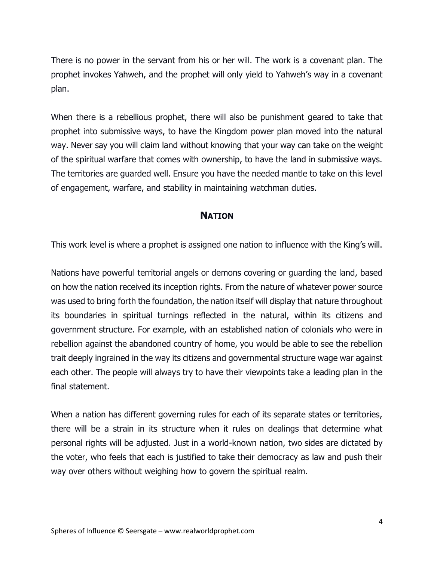There is no power in the servant from his or her will. The work is a covenant plan. The prophet invokes Yahweh, and the prophet will only yield to Yahweh's way in a covenant plan.

When there is a rebellious prophet, there will also be punishment geared to take that prophet into submissive ways, to have the Kingdom power plan moved into the natural way. Never say you will claim land without knowing that your way can take on the weight of the spiritual warfare that comes with ownership, to have the land in submissive ways. The territories are guarded well. Ensure you have the needed mantle to take on this level of engagement, warfare, and stability in maintaining watchman duties.

### **NATION**

This work level is where a prophet is assigned one nation to influence with the King's will.

Nations have powerful territorial angels or demons covering or guarding the land, based on how the nation received its inception rights. From the nature of whatever power source was used to bring forth the foundation, the nation itself will display that nature throughout its boundaries in spiritual turnings reflected in the natural, within its citizens and government structure. For example, with an established nation of colonials who were in rebellion against the abandoned country of home, you would be able to see the rebellion trait deeply ingrained in the way its citizens and governmental structure wage war against each other. The people will always try to have their viewpoints take a leading plan in the final statement.

When a nation has different governing rules for each of its separate states or territories, there will be a strain in its structure when it rules on dealings that determine what personal rights will be adjusted. Just in a world-known nation, two sides are dictated by the voter, who feels that each is justified to take their democracy as law and push their way over others without weighing how to govern the spiritual realm.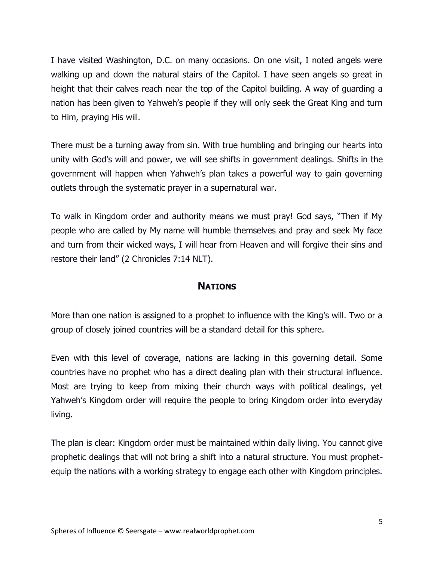I have visited Washington, D.C. on many occasions. On one visit, I noted angels were walking up and down the natural stairs of the Capitol. I have seen angels so great in height that their calves reach near the top of the Capitol building. A way of guarding a nation has been given to Yahweh's people if they will only seek the Great King and turn to Him, praying His will.

There must be a turning away from sin. With true humbling and bringing our hearts into unity with God's will and power, we will see shifts in government dealings. Shifts in the government will happen when Yahweh's plan takes a powerful way to gain governing outlets through the systematic prayer in a supernatural war.

To walk in Kingdom order and authority means we must pray! God says, "Then if My people who are called by My name will humble themselves and pray and seek My face and turn from their wicked ways, I will hear from Heaven and will forgive their sins and restore their land" (2 Chronicles 7:14 NLT).

### **NATIONS**

More than one nation is assigned to a prophet to influence with the King's will. Two or a group of closely joined countries will be a standard detail for this sphere.

Even with this level of coverage, nations are lacking in this governing detail. Some countries have no prophet who has a direct dealing plan with their structural influence. Most are trying to keep from mixing their church ways with political dealings, yet Yahweh's Kingdom order will require the people to bring Kingdom order into everyday living.

The plan is clear: Kingdom order must be maintained within daily living. You cannot give prophetic dealings that will not bring a shift into a natural structure. You must prophetequip the nations with a working strategy to engage each other with Kingdom principles.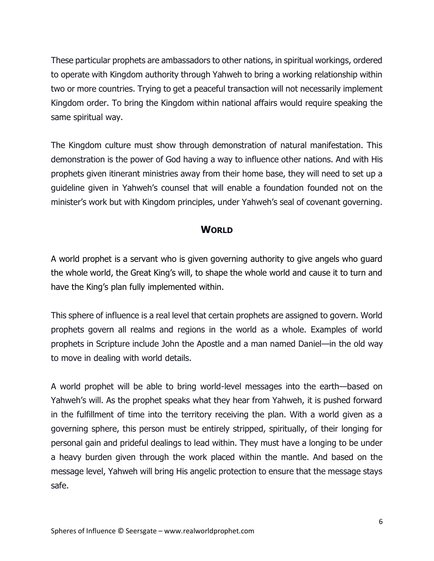These particular prophets are ambassadors to other nations, in spiritual workings, ordered to operate with Kingdom authority through Yahweh to bring a working relationship within two or more countries. Trying to get a peaceful transaction will not necessarily implement Kingdom order. To bring the Kingdom within national affairs would require speaking the same spiritual way.

The Kingdom culture must show through demonstration of natural manifestation. This demonstration is the power of God having a way to influence other nations. And with His prophets given itinerant ministries away from their home base, they will need to set up a guideline given in Yahweh's counsel that will enable a foundation founded not on the minister's work but with Kingdom principles, under Yahweh's seal of covenant governing.

### **WORLD**

A world prophet is a servant who is given governing authority to give angels who guard the whole world, the Great King's will, to shape the whole world and cause it to turn and have the King's plan fully implemented within.

This sphere of influence is a real level that certain prophets are assigned to govern. World prophets govern all realms and regions in the world as a whole. Examples of world prophets in Scripture include John the Apostle and a man named Daniel—in the old way to move in dealing with world details.

A world prophet will be able to bring world-level messages into the earth—based on Yahweh's will. As the prophet speaks what they hear from Yahweh, it is pushed forward in the fulfillment of time into the territory receiving the plan. With a world given as a governing sphere, this person must be entirely stripped, spiritually, of their longing for personal gain and prideful dealings to lead within. They must have a longing to be under a heavy burden given through the work placed within the mantle. And based on the message level, Yahweh will bring His angelic protection to ensure that the message stays safe.